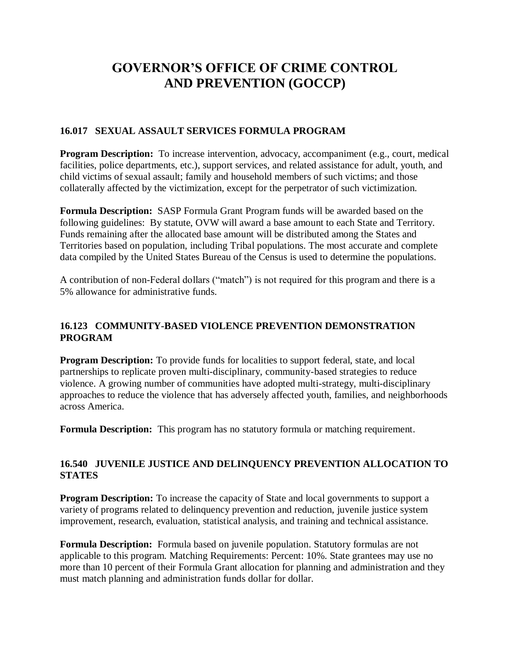# **GOVERNOR'S OFFICE OF CRIME CONTROL AND PREVENTION (GOCCP)**

## **16.017 SEXUAL ASSAULT SERVICES FORMULA PROGRAM**

**Program Description:** To increase intervention, advocacy, accompaniment (e.g., court, medical facilities, police departments, etc.), support services, and related assistance for adult, youth, and child victims of sexual assault; family and household members of such victims; and those collaterally affected by the victimization, except for the perpetrator of such victimization.

**Formula Description:** SASP Formula Grant Program funds will be awarded based on the following guidelines: By statute, OVW will award a base amount to each State and Territory. Funds remaining after the allocated base amount will be distributed among the States and Territories based on population, including Tribal populations. The most accurate and complete data compiled by the United States Bureau of the Census is used to determine the populations.

A contribution of non-Federal dollars ("match") is not required for this program and there is a 5% allowance for administrative funds.

## **16.123 COMMUNITY-BASED VIOLENCE PREVENTION DEMONSTRATION PROGRAM**

**Program Description:** To provide funds for localities to support federal, state, and local partnerships to replicate proven multi-disciplinary, community-based strategies to reduce violence. A growing number of communities have adopted multi-strategy, multi-disciplinary approaches to reduce the violence that has adversely affected youth, families, and neighborhoods across America.

**Formula Description:** This program has no statutory formula or matching requirement.

## **16.540 JUVENILE JUSTICE AND DELINQUENCY PREVENTION ALLOCATION TO STATES**

**Program Description:** To increase the capacity of State and local governments to support a variety of programs related to delinquency prevention and reduction, juvenile justice system improvement, research, evaluation, statistical analysis, and training and technical assistance.

**Formula Description:** Formula based on juvenile population. Statutory formulas are not applicable to this program. Matching Requirements: Percent: 10%. State grantees may use no more than 10 percent of their Formula Grant allocation for planning and administration and they must match planning and administration funds dollar for dollar.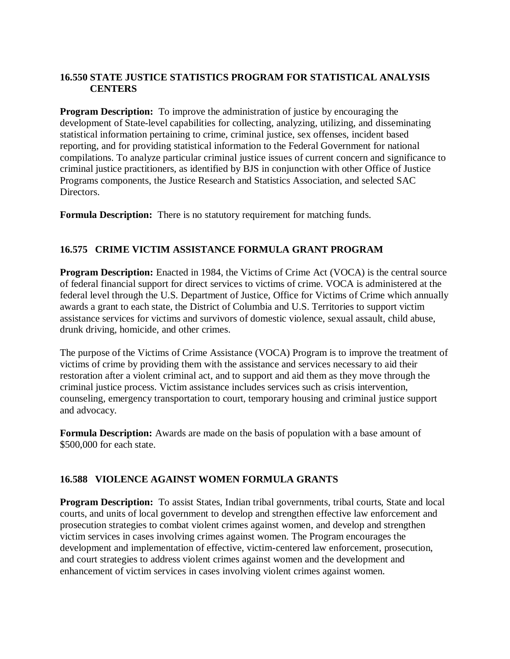## **16.550 STATE JUSTICE STATISTICS PROGRAM FOR STATISTICAL ANALYSIS CENTERS**

**Program Description:** To improve the administration of justice by encouraging the development of State-level capabilities for collecting, analyzing, utilizing, and disseminating statistical information pertaining to crime, criminal justice, sex offenses, incident based reporting, and for providing statistical information to the Federal Government for national compilations. To analyze particular criminal justice issues of current concern and significance to criminal justice practitioners, as identified by BJS in conjunction with other Office of Justice Programs components, the Justice Research and Statistics Association, and selected SAC Directors.

**Formula Description:** There is no statutory requirement for matching funds.

## **16.575 CRIME VICTIM ASSISTANCE FORMULA GRANT PROGRAM**

**Program Description:** Enacted in 1984, the Victims of Crime Act (VOCA) is the central source of federal financial support for direct services to victims of crime. VOCA is administered at the federal level through the U.S. Department of Justice, Office for Victims of Crime which annually awards a grant to each state, the District of Columbia and U.S. Territories to support victim assistance services for victims and survivors of domestic violence, sexual assault, child abuse, drunk driving, homicide, and other crimes.

The purpose of the Victims of Crime Assistance (VOCA) Program is to improve the treatment of victims of crime by providing them with the assistance and services necessary to aid their restoration after a violent criminal act, and to support and aid them as they move through the criminal justice process. Victim assistance includes services such as crisis intervention, counseling, emergency transportation to court, temporary housing and criminal justice support and advocacy.

**Formula Description:** Awards are made on the basis of population with a base amount of \$500,000 for each state.

## **16.588 VIOLENCE AGAINST WOMEN FORMULA GRANTS**

**Program Description:** To assist States, Indian tribal governments, tribal courts, State and local courts, and units of local government to develop and strengthen effective law enforcement and prosecution strategies to combat violent crimes against women, and develop and strengthen victim services in cases involving crimes against women. The Program encourages the development and implementation of effective, victim-centered law enforcement, prosecution, and court strategies to address violent crimes against women and the development and enhancement of victim services in cases involving violent crimes against women.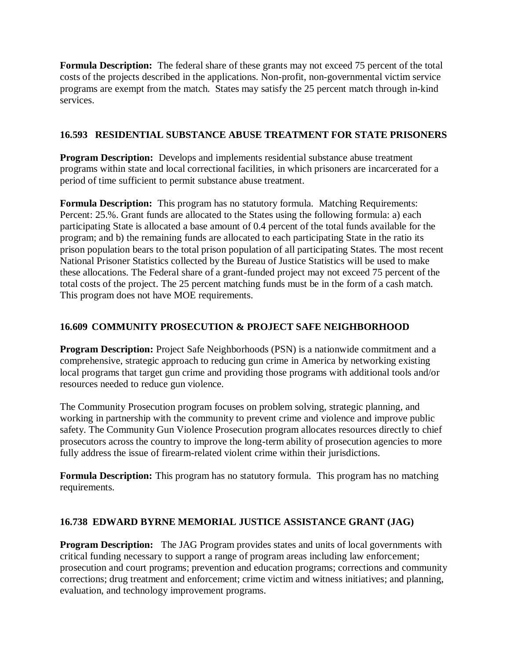**Formula Description:** The federal share of these grants may not exceed 75 percent of the total costs of the projects described in the applications. Non-profit, non-governmental victim service programs are exempt from the match. States may satisfy the 25 percent match through in-kind services.

## **16.593 RESIDENTIAL SUBSTANCE ABUSE TREATMENT FOR STATE PRISONERS**

**Program Description:** Develops and implements residential substance abuse treatment programs within state and local correctional facilities, in which prisoners are incarcerated for a period of time sufficient to permit substance abuse treatment.

**Formula Description:** This program has no statutory formula. Matching Requirements: Percent: 25.%. Grant funds are allocated to the States using the following formula: a) each participating State is allocated a base amount of 0.4 percent of the total funds available for the program; and b) the remaining funds are allocated to each participating State in the ratio its prison population bears to the total prison population of all participating States. The most recent National Prisoner Statistics collected by the Bureau of Justice Statistics will be used to make these allocations. The Federal share of a grant-funded project may not exceed 75 percent of the total costs of the project. The 25 percent matching funds must be in the form of a cash match. This program does not have MOE requirements.

# **16.609 COMMUNITY PROSECUTION & PROJECT SAFE NEIGHBORHOOD**

**Program Description:** Project Safe Neighborhoods (PSN) is a nationwide commitment and a comprehensive, strategic approach to reducing gun crime in America by networking existing local programs that target gun crime and providing those programs with additional tools and/or resources needed to reduce gun violence.

The Community Prosecution program focuses on problem solving, strategic planning, and working in partnership with the community to prevent crime and violence and improve public safety. The Community Gun Violence Prosecution program allocates resources directly to chief prosecutors across the country to improve the long-term ability of prosecution agencies to more fully address the issue of firearm-related violent crime within their jurisdictions.

**Formula Description:** This program has no statutory formula. This program has no matching requirements.

## **16.738 EDWARD BYRNE MEMORIAL JUSTICE ASSISTANCE GRANT (JAG)**

**Program Description:** The JAG Program provides states and units of local governments with critical funding necessary to support a range of program areas including law enforcement; prosecution and court programs; prevention and education programs; corrections and community corrections; drug treatment and enforcement; crime victim and witness initiatives; and planning, evaluation, and technology improvement programs.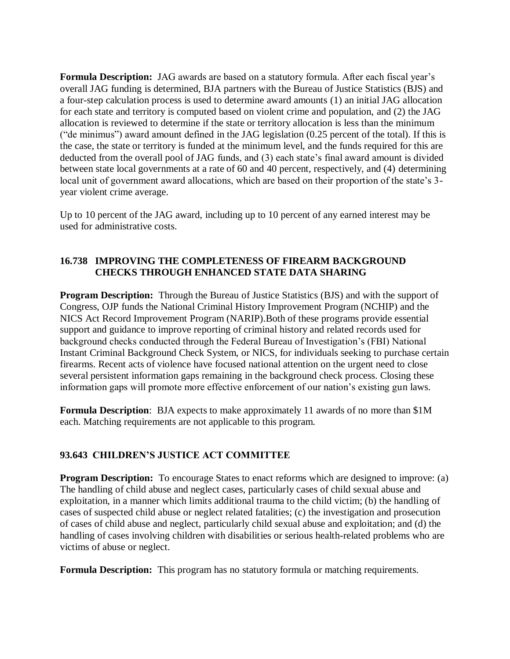**Formula Description:** JAG awards are based on a statutory formula. After each fiscal year's overall JAG funding is determined, BJA partners with the Bureau of Justice Statistics (BJS) and a four-step calculation process is used to determine award amounts (1) an initial JAG allocation for each state and territory is computed based on violent crime and population, and (2) the JAG allocation is reviewed to determine if the state or territory allocation is less than the minimum ("de minimus") award amount defined in the JAG legislation (0.25 percent of the total). If this is the case, the state or territory is funded at the minimum level, and the funds required for this are deducted from the overall pool of JAG funds, and (3) each state's final award amount is divided between state local governments at a rate of 60 and 40 percent, respectively, and (4) determining local unit of government award allocations, which are based on their proportion of the state's 3 year violent crime average.

Up to 10 percent of the JAG award, including up to 10 percent of any earned interest may be used for administrative costs.

#### **16.738 IMPROVING THE COMPLETENESS OF FIREARM BACKGROUND CHECKS THROUGH ENHANCED STATE DATA SHARING**

**Program Description:** Through the Bureau of Justice Statistics (BJS) and with the support of Congress, OJP funds the National Criminal History Improvement Program (NCHIP) and the NICS Act Record Improvement Program (NARIP).Both of these programs provide essential support and guidance to improve reporting of criminal history and related records used for background checks conducted through the Federal Bureau of Investigation's (FBI) National Instant Criminal Background Check System, or NICS, for individuals seeking to purchase certain firearms. Recent acts of violence have focused national attention on the urgent need to close several persistent information gaps remaining in the background check process. Closing these information gaps will promote more effective enforcement of our nation's existing gun laws.

**Formula Description**: BJA expects to make approximately 11 awards of no more than \$1M each. Matching requirements are not applicable to this program.

## **93.643 CHILDREN'S JUSTICE ACT COMMITTEE**

**Program Description:** To encourage States to enact reforms which are designed to improve: (a) The handling of child abuse and neglect cases, particularly cases of child sexual abuse and exploitation, in a manner which limits additional trauma to the child victim; (b) the handling of cases of suspected child abuse or neglect related fatalities; (c) the investigation and prosecution of cases of child abuse and neglect, particularly child sexual abuse and exploitation; and (d) the handling of cases involving children with disabilities or serious health-related problems who are victims of abuse or neglect.

**Formula Description:** This program has no statutory formula or matching requirements.